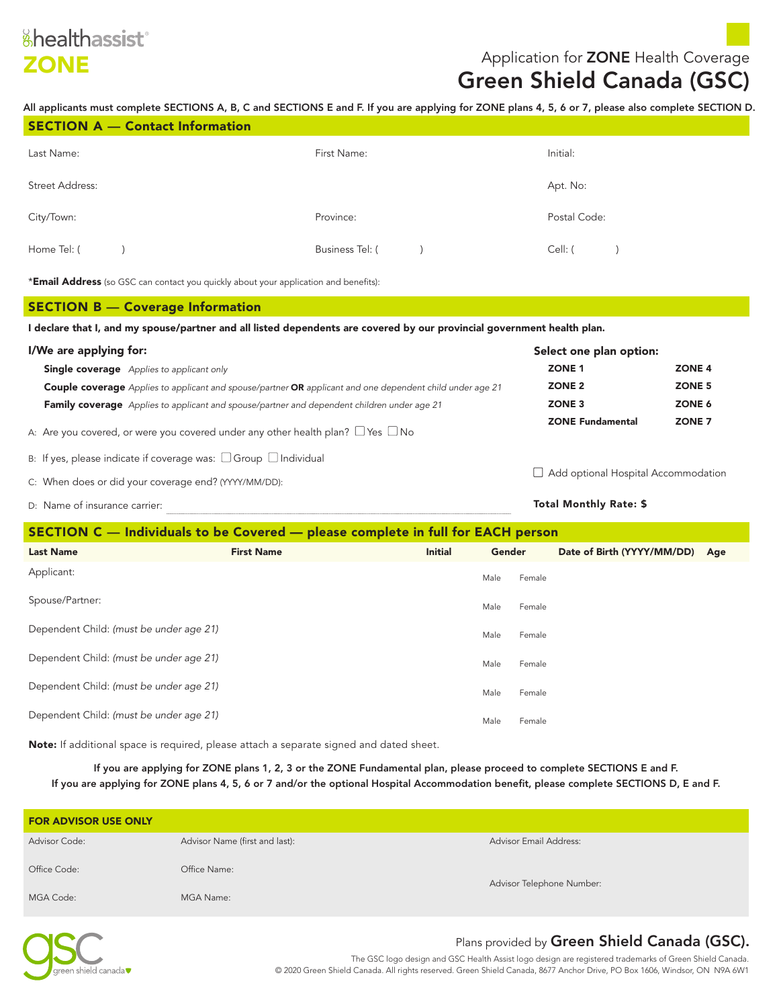## **ZONE Application for ZONE** Health Coverage

# Green Shield Canada (GSC)

All applicants must complete SECTIONS A, B, C and SECTIONS E and F. If you are applying for ZONE plans 4, 5, 6 or 7, please also complete SECTION D.

| <b>SECTION A - Contact Information</b> |                        |              |
|----------------------------------------|------------------------|--------------|
| Last Name:                             | First Name:            | Initial:     |
| <b>Street Address:</b>                 |                        | Apt. No:     |
| City/Town:                             | Province:              | Postal Code: |
| Home Tel: (                            | <b>Business Tel: (</b> | Cell: (      |

\***Email Address** (so GSC can contact you quickly about your application and benefits):

#### SECTION B — Coverage Information

I declare that I, and my spouse/partner and all listed dependents are covered by our provincial government health plan.

| I/We are applying for:                                                                                                  | Select one plan option:                      |        |  |  |
|-------------------------------------------------------------------------------------------------------------------------|----------------------------------------------|--------|--|--|
| <b>Single coverage</b> Applies to applicant only                                                                        | ZONE 1                                       | ZONE 4 |  |  |
| <b>Couple coverage</b> Applies to applicant and spouse/partner <b>OR</b> applicant and one dependent child under age 21 | ZONE <sub>2</sub>                            | ZONE 5 |  |  |
| <b>Family coverage</b> Applies to applicant and spouse/partner and dependent children under age 21                      | ZONE 3                                       | ZONE 6 |  |  |
| A: Are you covered, or were you covered under any other health plan? $\Box$ Yes $\Box$ No                               | ZONE <sub>7</sub><br><b>ZONE Fundamental</b> |        |  |  |
| B: If yes, please indicate if coverage was: $\Box$ Group $\Box$ Individual                                              |                                              |        |  |  |
| $\Box$ Add optional Hospital Accommodation<br>C: When does or did your coverage end? (YYYY/MM/DD):                      |                                              |        |  |  |
| D: Name of insurance carrier:                                                                                           | <b>Total Monthly Rate: \$</b>                |        |  |  |

#### SECTION C — Individuals to be Covered — please complete in full for EACH person

|                                         | <u>proved compresso in ran rol miller and poleoni</u> |                |             |                                |  |
|-----------------------------------------|-------------------------------------------------------|----------------|-------------|--------------------------------|--|
| <b>Last Name</b>                        | <b>First Name</b>                                     | <b>Initial</b> | Gender      | Date of Birth (YYYY/MM/DD) Age |  |
| Applicant:                              |                                                       |                | Male Female |                                |  |
| Spouse/Partner:                         |                                                       |                | Male Female |                                |  |
| Dependent Child: (must be under age 21) |                                                       |                | Male Female |                                |  |
| Dependent Child: (must be under age 21) |                                                       |                | Male Female |                                |  |
| Dependent Child: (must be under age 21) |                                                       |                | Male Female |                                |  |
| Dependent Child: (must be under age 21) |                                                       |                | Male Female |                                |  |
|                                         |                                                       |                |             |                                |  |

Note: If additional space is required, please attach a separate signed and dated sheet.

If you are applying for ZONE plans 1, 2, 3 or the ZONE Fundamental plan, please proceed to complete SECTIONS E and F. If you are applying for ZONE plans 4, 5, 6 or 7 and/or the optional Hospital Accommodation benefit, please complete SECTIONS D, E and F.

| <b>FOR ADVISOR USE ONLY</b> |                                |                               |  |  |
|-----------------------------|--------------------------------|-------------------------------|--|--|
| <b>Advisor Code:</b>        | Advisor Name (first and last): | <b>Advisor Email Address:</b> |  |  |
| Office Code:                | Office Name:                   | Advisor Telephone Number:     |  |  |
| MGA Code:                   | MGA Name:                      |                               |  |  |



#### Plans provided by Green Shield Canada (GSC).

The GSC logo design and GSC Health Assist logo design are registered trademarks of Green Shield Canada. © 2020 Green Shield Canada. All rights reserved. Green Shield Canada, 8677 Anchor Drive, PO Box 1606, Windsor, ON N9A 6W1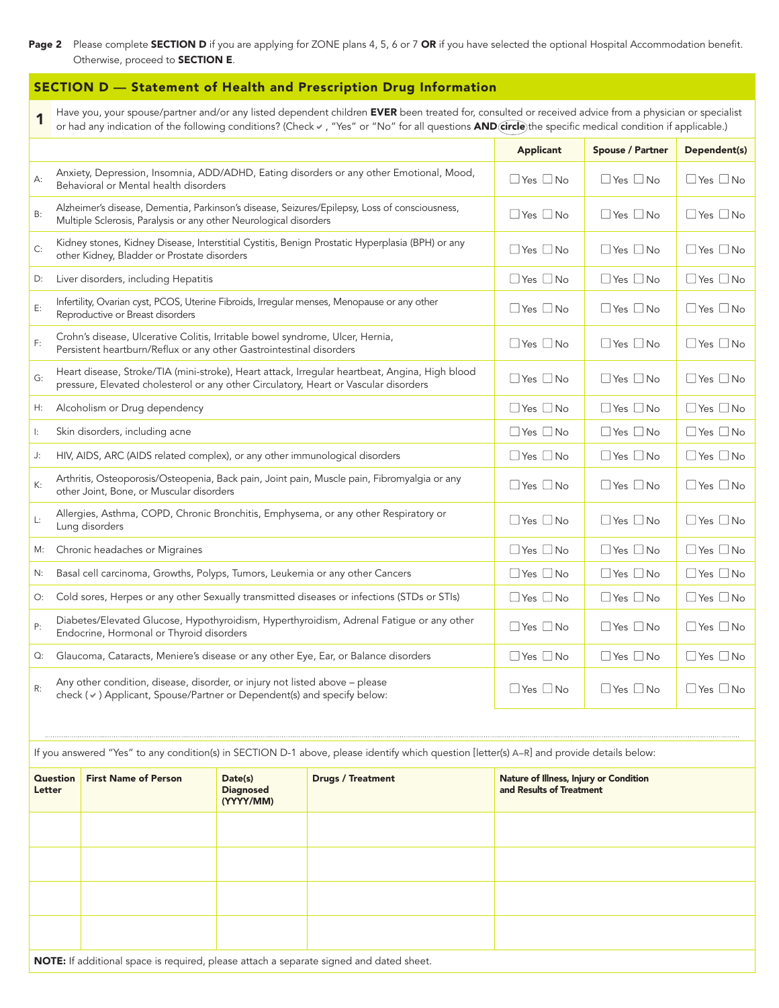#### Page 2 Please complete SECTION D if you are applying for ZONE plans 4, 5, 6 or 7 OR if you have selected the optional Hospital Accommodation benefit. Otherwise, proceed to SECTION E.

#### SECTION D — Statement of Health and Prescription Drug Information

Have you, your spouse/partner and/or any listed dependent children EVER been treated for, consulted or received advice from a physician or specialist<br>Nor had any indication of the following conditions? (Check v, "Yes" or "

|        |                                                                                                                                                              |                                                                                                                                                      |                             |                                                                                                 | <b>Applicant</b>                                                   | <b>Spouse / Partner</b> | Dependent(s)         |
|--------|--------------------------------------------------------------------------------------------------------------------------------------------------------------|------------------------------------------------------------------------------------------------------------------------------------------------------|-----------------------------|-------------------------------------------------------------------------------------------------|--------------------------------------------------------------------|-------------------------|----------------------|
| А:     |                                                                                                                                                              | Behavioral or Mental health disorders                                                                                                                |                             | Anxiety, Depression, Insomnia, ADD/ADHD, Eating disorders or any other Emotional, Mood,         | $\Box$ Yes $\Box$ No                                               | $\Box$ Yes $\Box$ No    | $\Box$ Yes $\Box$ No |
| B:     |                                                                                                                                                              | Multiple Sclerosis, Paralysis or any other Neurological disorders                                                                                    |                             | Alzheimer's disease, Dementia, Parkinson's disease, Seizures/Epilepsy, Loss of consciousness,   | $\Box$ Yes $\Box$ No                                               | $\Box$ Yes $\Box$ No    | $\Box$ Yes $\Box$ No |
| C:     |                                                                                                                                                              | other Kidney, Bladder or Prostate disorders                                                                                                          |                             | Kidney stones, Kidney Disease, Interstitial Cystitis, Benign Prostatic Hyperplasia (BPH) or any | $\Box$ Yes $\Box$ No                                               | $\Box$ Yes $\Box$ No    | $\Box$ Yes $\Box$ No |
| D:     |                                                                                                                                                              | Liver disorders, including Hepatitis                                                                                                                 |                             |                                                                                                 | $\Box$ Yes $\Box$ No                                               | $\Box$ Yes $\Box$ No    | $\Box$ Yes $\Box$ No |
| E:     |                                                                                                                                                              | Infertility, Ovarian cyst, PCOS, Uterine Fibroids, Irregular menses, Menopause or any other<br>Reproductive or Breast disorders                      |                             |                                                                                                 | $\Box$ Yes $\Box$ No                                               | $\Box$ Yes $\Box$ No    | $\Box$ Yes $\Box$ No |
| F:     |                                                                                                                                                              | Crohn's disease, Ulcerative Colitis, Irritable bowel syndrome, Ulcer, Hernia,<br>Persistent heartburn/Reflux or any other Gastrointestinal disorders |                             |                                                                                                 | $\Box$ Yes $\Box$ No                                               | $\Box$ Yes $\Box$ No    | $\Box$ Yes $\Box$ No |
| G:     |                                                                                                                                                              | pressure, Elevated cholesterol or any other Circulatory, Heart or Vascular disorders                                                                 |                             | Heart disease, Stroke/TIA (mini-stroke), Heart attack, Irregular heartbeat, Angina, High blood  | $\Box$ Yes $\Box$ No                                               | $\Box$ Yes $\Box$ No    | $\Box$ Yes $\Box$ No |
| Н:     |                                                                                                                                                              | Alcoholism or Drug dependency                                                                                                                        |                             |                                                                                                 | $\Box$ Yes $\Box$ No                                               | $\Box$ Yes $\Box$ No    | $\Box$ Yes $\Box$ No |
| ŀ.     |                                                                                                                                                              | Skin disorders, including acne                                                                                                                       |                             |                                                                                                 | $\Box$ Yes $\Box$ No                                               | $\Box$ Yes $\Box$ No    | $\Box$ Yes $\Box$ No |
| J:     |                                                                                                                                                              | HIV, AIDS, ARC (AIDS related complex), or any other immunological disorders                                                                          |                             |                                                                                                 | $\Box$ Yes $\Box$ No                                               | $\Box$ Yes $\Box$ No    | $\Box$ Yes $\Box$ No |
| К:     |                                                                                                                                                              | other Joint, Bone, or Muscular disorders                                                                                                             |                             | Arthritis, Osteoporosis/Osteopenia, Back pain, Joint pain, Muscle pain, Fibromyalgia or any     | $\Box$ Yes $\Box$ No                                               | $\Box$ Yes $\Box$ No    | $\Box$ Yes $\Box$ No |
| L:     |                                                                                                                                                              | Lung disorders                                                                                                                                       |                             | Allergies, Asthma, COPD, Chronic Bronchitis, Emphysema, or any other Respiratory or             | $\Box$ Yes $\Box$ No                                               | $\Box$ Yes $\Box$ No    | $\Box$ Yes $\Box$ No |
| М:     |                                                                                                                                                              | Chronic headaches or Migraines                                                                                                                       |                             |                                                                                                 | $\Box$ Yes $\Box$ No                                               | $\Box$ Yes $\Box$ No    | $\Box$ Yes $\Box$ No |
| N:     |                                                                                                                                                              | Basal cell carcinoma, Growths, Polyps, Tumors, Leukemia or any other Cancers                                                                         |                             |                                                                                                 | $\Box$ Yes $\Box$ No                                               | $\Box$ Yes $\Box$ No    | $\Box$ Yes $\Box$ No |
| O:     |                                                                                                                                                              |                                                                                                                                                      |                             | Cold sores, Herpes or any other Sexually transmitted diseases or infections (STDs or STIs)      | $\Box$ Yes $\Box$ No                                               | $\Box$ Yes $\Box$ No    | $\Box$ Yes $\Box$ No |
| Ρ:     |                                                                                                                                                              | Endocrine, Hormonal or Thyroid disorders                                                                                                             |                             | Diabetes/Elevated Glucose, Hypothyroidism, Hyperthyroidism, Adrenal Fatigue or any other        | $\Box$ Yes $\Box$ No                                               | $\Box$ Yes $\Box$ No    | $\Box$ Yes $\Box$ No |
| Q:     |                                                                                                                                                              | Glaucoma, Cataracts, Meniere's disease or any other Eye, Ear, or Balance disorders                                                                   |                             |                                                                                                 | $\Box$ Yes $\Box$ No                                               | $\Box$ Yes $\Box$ No    | $\Box$ Yes $\Box$ No |
| R:     | Any other condition, disease, disorder, or injury not listed above - please<br>check ( $\vee$ ) Applicant, Spouse/Partner or Dependent(s) and specify below: |                                                                                                                                                      |                             |                                                                                                 | $\Box$ Yes $\Box$ No                                               | $\Box$ Yes $\Box$ No    | $\Box$ Yes $\Box$ No |
|        |                                                                                                                                                              |                                                                                                                                                      |                             |                                                                                                 |                                                                    |                         |                      |
|        | If you answered "Yes" to any condition(s) in SECTION D-1 above, please identify which question [letter(s) A-R] and provide details below:                    |                                                                                                                                                      |                             |                                                                                                 |                                                                    |                         |                      |
| Letter | <b>Question</b>                                                                                                                                              | <b>First Name of Person</b>                                                                                                                          | Date(s)<br><b>Diagnosed</b> | <b>Drugs / Treatment</b>                                                                        | Nature of Illness, Injury or Condition<br>and Results of Treatment |                         |                      |

| Question<br>Letter                                                                      | <b>First Name of Person</b> | Date(s)<br><b>Diagnosed</b><br>(YYYY/MM) | <b>Drugs / Treatment</b> | Nature of Illness, Injury or Condition<br>and Results of Treatment |  |
|-----------------------------------------------------------------------------------------|-----------------------------|------------------------------------------|--------------------------|--------------------------------------------------------------------|--|
|                                                                                         |                             |                                          |                          |                                                                    |  |
|                                                                                         |                             |                                          |                          |                                                                    |  |
|                                                                                         |                             |                                          |                          |                                                                    |  |
|                                                                                         |                             |                                          |                          |                                                                    |  |
| NOTE: If additional space is required, please attach a separate signed and dated sheet. |                             |                                          |                          |                                                                    |  |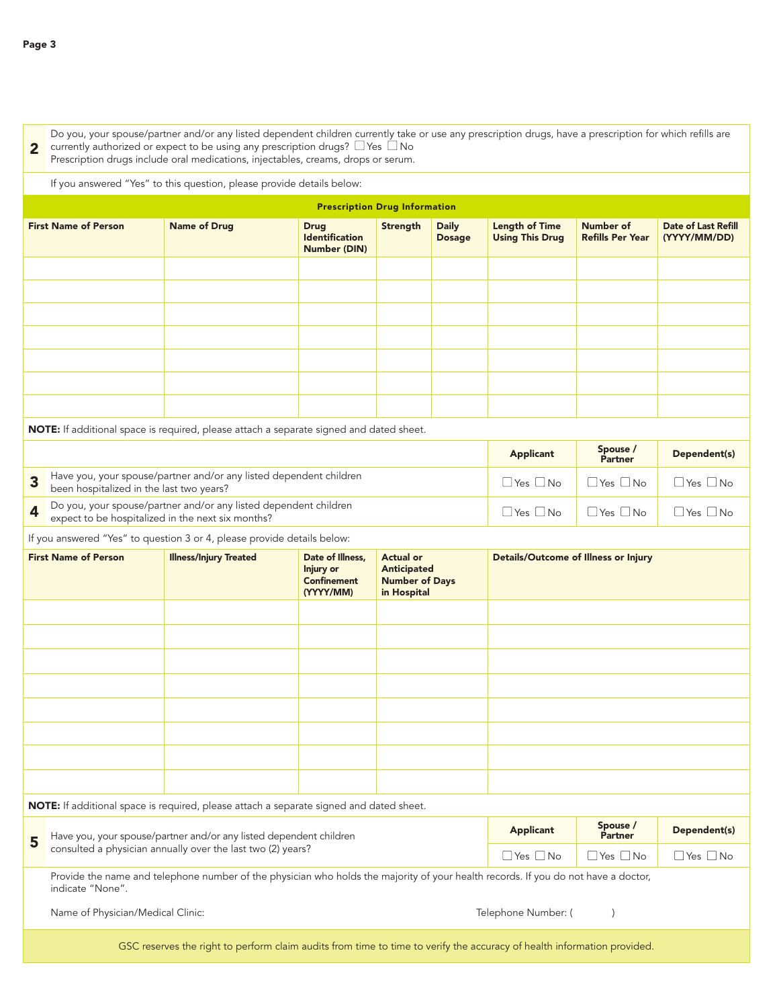currently authorized or expect to be using any prescription drugs?  $\Box$  Yes  $\Box$  No 2 Do you, your spouse/partner and/or any listed dependent children currently take or use any prescription drugs, have a prescription for which refills are

Prescription drugs include oral medications, injectables, creams, drops or serum.

If you answered "Yes" to this question, please provide details below:

| <b>Prescription Drug Information</b> |                     |                                                      |          |                               |                                           |                                      |                                            |
|--------------------------------------|---------------------|------------------------------------------------------|----------|-------------------------------|-------------------------------------------|--------------------------------------|--------------------------------------------|
| <b>First Name of Person</b>          | <b>Name of Drug</b> | <b>Drug</b><br><b>Identification</b><br>Number (DIN) | Strength | <b>Daily</b><br><b>Dosage</b> | <b>Length of Time<br/>Using This Drug</b> | Number of<br><b>Refills Per Year</b> | <b>Date of Last Refill</b><br>(YYYY/MM/DD) |
|                                      |                     |                                                      |          |                               |                                           |                                      |                                            |
|                                      |                     |                                                      |          |                               |                                           |                                      |                                            |
|                                      |                     |                                                      |          |                               |                                           |                                      |                                            |
|                                      |                     |                                                      |          |                               |                                           |                                      |                                            |
|                                      |                     |                                                      |          |                               |                                           |                                      |                                            |
|                                      |                     |                                                      |          |                               |                                           |                                      |                                            |
|                                      |                     |                                                      |          |                               |                                           |                                      |                                            |

NOTE: If additional space is required, please attach a separate signed and dated sheet.

|           |                                                                                                                       | <b>Applicant</b>                   | Spouse /<br><b>Partner</b>  | Dependent(s) |
|-----------|-----------------------------------------------------------------------------------------------------------------------|------------------------------------|-----------------------------|--------------|
| $\bullet$ | Have you, your spouse/partner and/or any listed dependent children<br>been hospitalized in the last two years?        | $\exists$ Yes $\Box$ No $\Box$     | $\Box$ Yes $\Box$ No        | Yes     No   |
|           | Do you, your spouse/partner and/or any listed dependent children<br>expect to be hospitalized in the next six months? | $\neg$ Yes $\neg$ No $\neg$ $\Box$ | $\Box$ Yes $\Box$ No $\Box$ | Yes  No      |

If you answered "Yes" to question 3 or 4, please provide details below:

| <b>First Name of Person</b> | <b>Illness/Injury Treated</b> | Date of Illness,<br><b>Injury or</b><br><b>Confinement</b><br>(YYYY/MM) | <b>Actual or</b><br><b>Anticipated</b><br><b>Number of Days</b><br>in Hospital | <b>Details/Outcome of Illness or Injury</b> |
|-----------------------------|-------------------------------|-------------------------------------------------------------------------|--------------------------------------------------------------------------------|---------------------------------------------|
|                             |                               |                                                                         |                                                                                |                                             |
|                             |                               |                                                                         |                                                                                |                                             |
|                             |                               |                                                                         |                                                                                |                                             |
|                             |                               |                                                                         |                                                                                |                                             |
|                             |                               |                                                                         |                                                                                |                                             |
|                             |                               |                                                                         |                                                                                |                                             |
|                             |                               |                                                                         |                                                                                |                                             |
|                             |                               |                                                                         |                                                                                |                                             |

NOTE: If additional space is required, please attach a separate signed and dated sheet.

| $\blacksquare$ Have you, your spouse/partner and/or any listed dependent children                                                 | <b>Applicant</b> | Spouse /<br><b>Partner</b>                                     | Dependent(s) |  |
|-----------------------------------------------------------------------------------------------------------------------------------|------------------|----------------------------------------------------------------|--------------|--|
| consulted a physician annually over the last two (2) years?                                                                       |                  | $\Box$ Yes $\Box$ No $\Box$ Yes $\Box$ No $\Box$ Yes $\Box$ No |              |  |
| Provide the name and telephone number of the physician who holds the majority of your hoalth records. If you do not have a doctor |                  |                                                                |              |  |

Provide the name and telephone number of the physician who holds the majority of your health records. If you do not have a doctor, indicate "None".

Name of Physician/Medical Clinic: Telephone Number: ( )

GSC reserves the right to perform claim audits from time to time to verify the accuracy of health information provided.